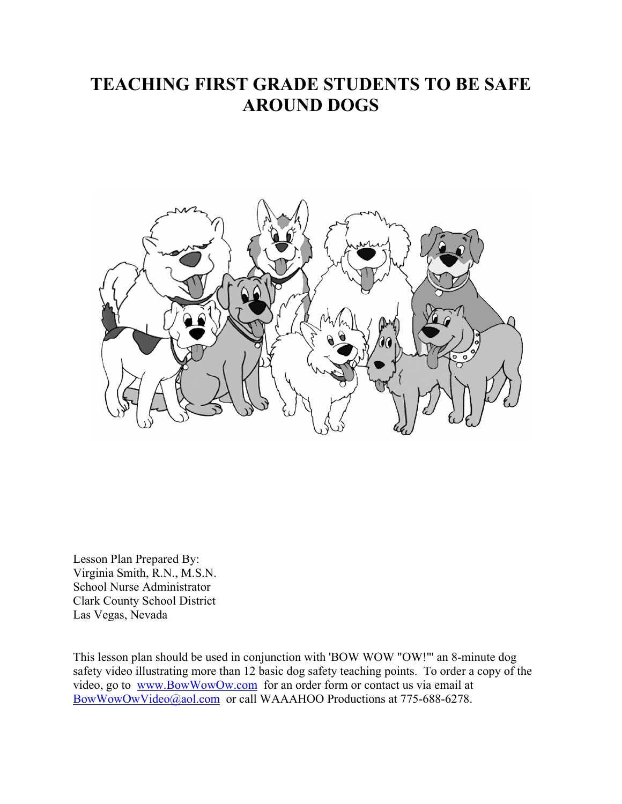# **TEACHING FIRST GRADE STUDENTS TO BE SAFE AROUND DOGS**



Lesson Plan Prepared By: Virginia Smith, R.N., M.S.N. School Nurse Administrator Clark County School District Las Vegas, Nevada

This lesson plan should be used in conjunction with 'BOW WOW "OW!"' an 8-minute dog safety video illustrating more than 12 basic dog safety teaching points. To order a copy of the video, go to www.BowWowOw.com for an order form or contact us via email at BowWowOwVideo@aol.com or call WAAAHOO Productions at 775-688-6278.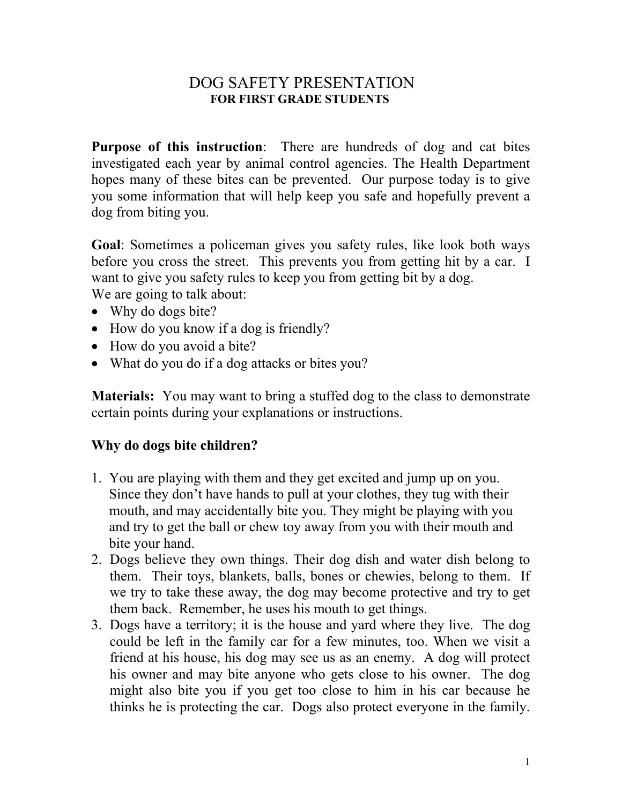### DOG SAFETY PRESENTATION **FOR FIRST GRADE STUDENTS**

**Purpose of this instruction**: There are hundreds of dog and cat bites investigated each year by animal control agencies. The Health Department hopes many of these bites can be prevented. Our purpose today is to give you some information that will help keep you safe and hopefully prevent a dog from biting you.

**Goal**: Sometimes a policeman gives you safety rules, like look both ways before you cross the street. This prevents you from getting hit by a car. I want to give you safety rules to keep you from getting bit by a dog. We are going to talk about:

- Why do dogs bite?
- How do you know if a dog is friendly?
- How do you avoid a bite?
- What do you do if a dog attacks or bites you?

**Materials:** You may want to bring a stuffed dog to the class to demonstrate certain points during your explanations or instructions.

#### **Why do dogs bite children?**

- 1. You are playing with them and they get excited and jump up on you. Since they don't have hands to pull at your clothes, they tug with their mouth, and may accidentally bite you. They might be playing with you and try to get the ball or chew toy away from you with their mouth and bite your hand.
- 2. Dogs believe they own things. Their dog dish and water dish belong to them. Their toys, blankets, balls, bones or chewies, belong to them. If we try to take these away, the dog may become protective and try to get them back. Remember, he uses his mouth to get things.
- 3. Dogs have a territory; it is the house and yard where they live. The dog could be left in the family car for a few minutes, too. When we visit a friend at his house, his dog may see us as an enemy. A dog will protect his owner and may bite anyone who gets close to his owner. The dog might also bite you if you get too close to him in his car because he thinks he is protecting the car. Dogs also protect everyone in the family.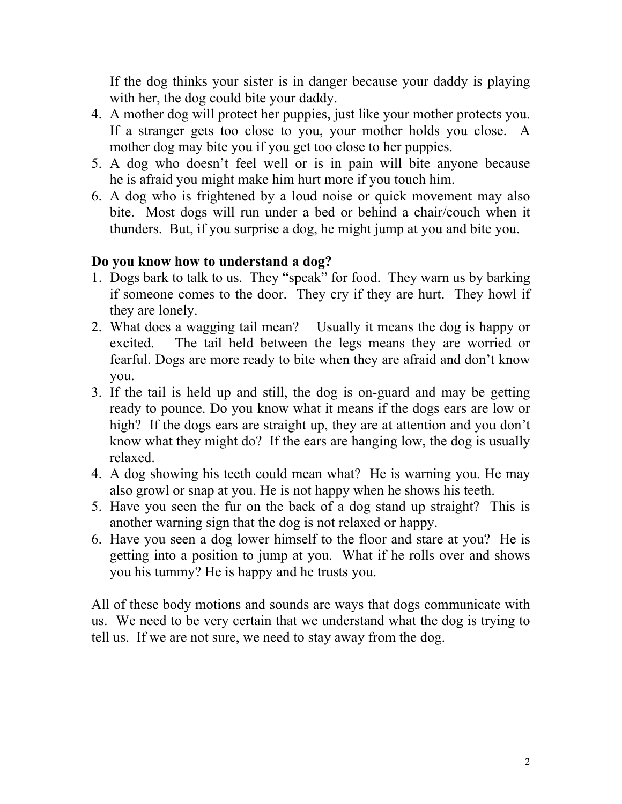If the dog thinks your sister is in danger because your daddy is playing with her, the dog could bite your daddy.

- 4. A mother dog will protect her puppies, just like your mother protects you. If a stranger gets too close to you, your mother holds you close. A mother dog may bite you if you get too close to her puppies.
- 5. A dog who doesn't feel well or is in pain will bite anyone because he is afraid you might make him hurt more if you touch him.
- 6. A dog who is frightened by a loud noise or quick movement may also bite. Most dogs will run under a bed or behind a chair/couch when it thunders. But, if you surprise a dog, he might jump at you and bite you.

# **Do you know how to understand a dog?**

- 1. Dogs bark to talk to us. They "speak" for food. They warn us by barking if someone comes to the door. They cry if they are hurt. They howl if they are lonely.
- 2. What does a wagging tail mean? Usually it means the dog is happy or excited. The tail held between the legs means they are worried or fearful. Dogs are more ready to bite when they are afraid and don't know you.
- 3. If the tail is held up and still, the dog is on-guard and may be getting ready to pounce. Do you know what it means if the dogs ears are low or high? If the dogs ears are straight up, they are at attention and you don't know what they might do? If the ears are hanging low, the dog is usually relaxed.
- 4. A dog showing his teeth could mean what? He is warning you. He may also growl or snap at you. He is not happy when he shows his teeth.
- 5. Have you seen the fur on the back of a dog stand up straight? This is another warning sign that the dog is not relaxed or happy.
- 6. Have you seen a dog lower himself to the floor and stare at you? He is getting into a position to jump at you. What if he rolls over and shows you his tummy? He is happy and he trusts you.

All of these body motions and sounds are ways that dogs communicate with us. We need to be very certain that we understand what the dog is trying to tell us. If we are not sure, we need to stay away from the dog.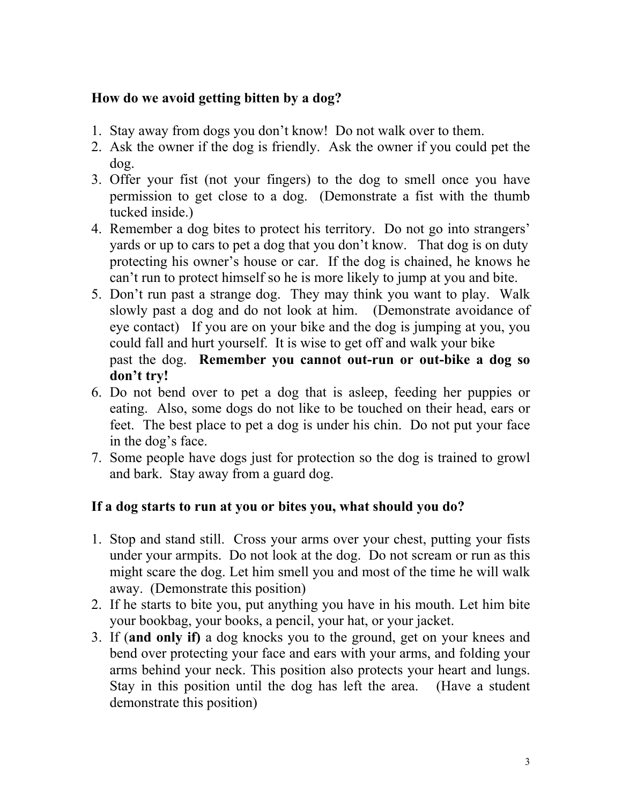### **How do we avoid getting bitten by a dog?**

- 1. Stay away from dogs you don't know! Do not walk over to them.
- 2. Ask the owner if the dog is friendly. Ask the owner if you could pet the dog.
- 3. Offer your fist (not your fingers) to the dog to smell once you have permission to get close to a dog. (Demonstrate a fist with the thumb tucked inside.)
- 4. Remember a dog bites to protect his territory. Do not go into strangers' yards or up to cars to pet a dog that you don't know. That dog is on duty protecting his owner's house or car. If the dog is chained, he knows he can't run to protect himself so he is more likely to jump at you and bite.
- 5. Don't run past a strange dog. They may think you want to play. Walk slowly past a dog and do not look at him. (Demonstrate avoidance of eye contact) If you are on your bike and the dog is jumping at you, you could fall and hurt yourself. It is wise to get off and walk your bike past the dog. **Remember you cannot out-run or out-bike a dog so don't try!**
- 6. Do not bend over to pet a dog that is asleep, feeding her puppies or eating. Also, some dogs do not like to be touched on their head, ears or feet. The best place to pet a dog is under his chin. Do not put your face in the dog's face.
- 7. Some people have dogs just for protection so the dog is trained to growl and bark. Stay away from a guard dog.

## **If a dog starts to run at you or bites you, what should you do?**

- 1. Stop and stand still. Cross your arms over your chest, putting your fists under your armpits. Do not look at the dog. Do not scream or run as this might scare the dog. Let him smell you and most of the time he will walk away. (Demonstrate this position)
- 2. If he starts to bite you, put anything you have in his mouth. Let him bite your bookbag, your books, a pencil, your hat, or your jacket.
- 3. If (**and only if)** a dog knocks you to the ground, get on your knees and bend over protecting your face and ears with your arms, and folding your arms behind your neck. This position also protects your heart and lungs. Stay in this position until the dog has left the area. (Have a student demonstrate this position)